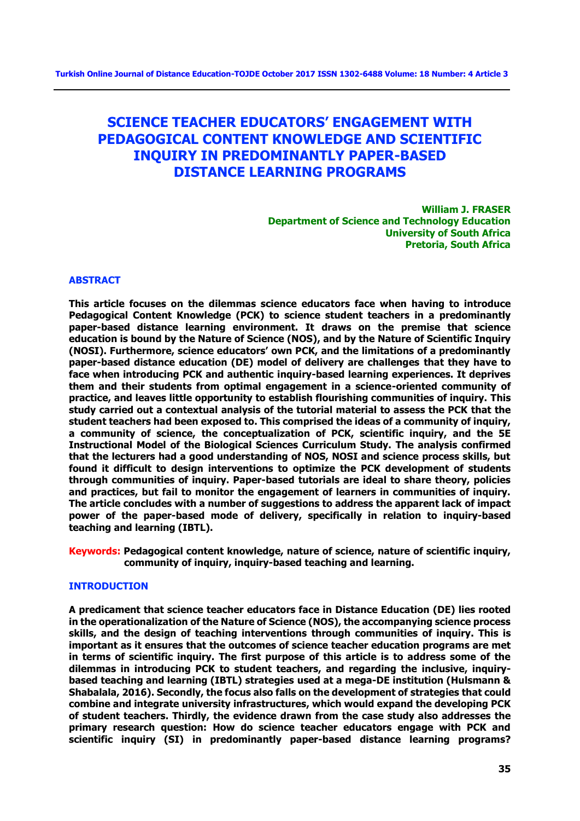# **SCIENCE TEACHER EDUCATORS' ENGAGEMENT WITH PEDAGOGICAL CONTENT KNOWLEDGE AND SCIENTIFIC INQUIRY IN PREDOMINANTLY PAPER-BASED DISTANCE LEARNING PROGRAMS**

**William J. FRASER Department of Science and Technology Education University of South Africa Pretoria, South Africa**

#### **ABSTRACT**

**This article focuses on the dilemmas science educators face when having to introduce Pedagogical Content Knowledge (PCK) to science student teachers in a predominantly paper-based distance learning environment. It draws on the premise that science education is bound by the Nature of Science (NOS), and by the Nature of Scientific Inquiry (NOSI). Furthermore, science educators' own PCK, and the limitations of a predominantly paper-based distance education (DE) model of delivery are challenges that they have to face when introducing PCK and authentic inquiry-based learning experiences. It deprives them and their students from optimal engagement in a science-oriented community of practice, and leaves little opportunity to establish flourishing communities of inquiry. This study carried out a contextual analysis of the tutorial material to assess the PCK that the student teachers had been exposed to. This comprised the ideas of a community of inquiry, a community of science, the conceptualization of PCK, scientific inquiry, and the 5E Instructional Model of the Biological Sciences Curriculum Study. The analysis confirmed that the lecturers had a good understanding of NOS, NOSI and science process skills, but found it difficult to design interventions to optimize the PCK development of students through communities of inquiry. Paper-based tutorials are ideal to share theory, policies and practices, but fail to monitor the engagement of learners in communities of inquiry. The article concludes with a number of suggestions to address the apparent lack of impact power of the paper-based mode of delivery, specifically in relation to inquiry-based teaching and learning (IBTL).**

**Keywords: Pedagogical content knowledge, nature of science, nature of scientific inquiry, community of inquiry, inquiry-based teaching and learning.**

#### **INTRODUCTION**

**A predicament that science teacher educators face in Distance Education (DE) lies rooted in the operationalization of the Nature of Science (NOS), the accompanying science process skills, and the design of teaching interventions through communities of inquiry. This is important as it ensures that the outcomes of science teacher education programs are met in terms of scientific inquiry. The first purpose of this article is to address some of the dilemmas in introducing PCK to student teachers, and regarding the inclusive, inquirybased teaching and learning (IBTL) strategies used at a mega-DE institution (Hulsmann & Shabalala, 2016). Secondly, the focus also falls on the development of strategies that could combine and integrate university infrastructures, which would expand the developing PCK of student teachers. Thirdly, the evidence drawn from the case study also addresses the primary research question: How do science teacher educators engage with PCK and scientific inquiry (SI) in predominantly paper-based distance learning programs?**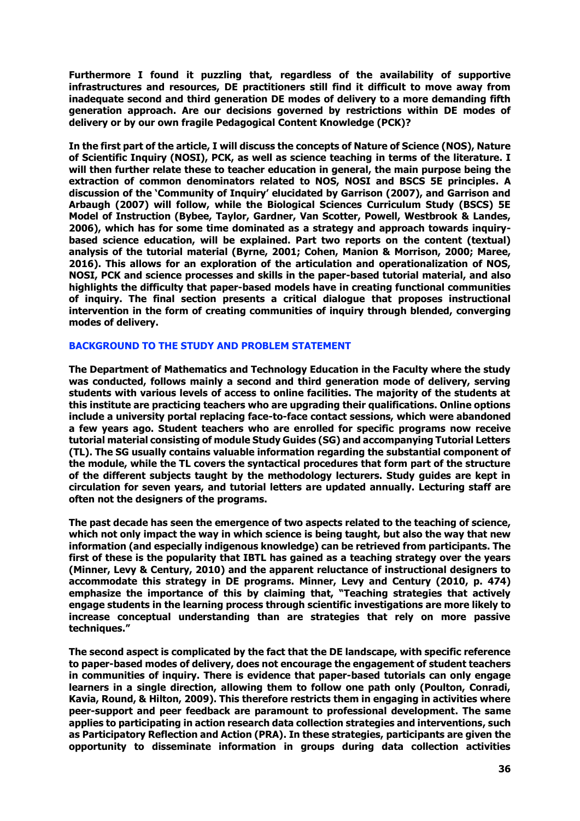**Furthermore I found it puzzling that, regardless of the availability of supportive infrastructures and resources, DE practitioners still find it difficult to move away from inadequate second and third generation DE modes of delivery to a more demanding fifth generation approach. Are our decisions governed by restrictions within DE modes of delivery or by our own fragile Pedagogical Content Knowledge (PCK)?** 

**In the first part of the article, I will discuss the concepts of Nature of Science (NOS), Nature of Scientific Inquiry (NOSI), PCK, as well as science teaching in terms of the literature. I will then further relate these to teacher education in general, the main purpose being the extraction of common denominators related to NOS, NOSI and BSCS 5E principles. A discussion of the 'Community of Inquiry' elucidated by Garrison (2007), and Garrison and Arbaugh (2007) will follow, while the Biological Sciences Curriculum Study (BSCS) 5E Model of Instruction (Bybee, Taylor, Gardner, Van Scotter, Powell, Westbrook & Landes, 2006), which has for some time dominated as a strategy and approach towards inquirybased science education, will be explained. Part two reports on the content (textual) analysis of the tutorial material (Byrne, 2001; Cohen, Manion & Morrison, 2000; Maree, 2016). This allows for an exploration of the articulation and operationalization of NOS, NOSI, PCK and science processes and skills in the paper-based tutorial material, and also highlights the difficulty that paper-based models have in creating functional communities of inquiry. The final section presents a critical dialogue that proposes instructional intervention in the form of creating communities of inquiry through blended, converging modes of delivery.**

#### **BACKGROUND TO THE STUDY AND PROBLEM STATEMENT**

**The Department of Mathematics and Technology Education in the Faculty where the study was conducted, follows mainly a second and third generation mode of delivery, serving students with various levels of access to online facilities. The majority of the students at this institute are practicing teachers who are upgrading their qualifications. Online options include a university portal replacing face-to-face contact sessions, which were abandoned a few years ago. Student teachers who are enrolled for specific programs now receive tutorial material consisting of module Study Guides (SG) and accompanying Tutorial Letters (TL). The SG usually contains valuable information regarding the substantial component of the module, while the TL covers the syntactical procedures that form part of the structure of the different subjects taught by the methodology lecturers. Study guides are kept in circulation for seven years, and tutorial letters are updated annually. Lecturing staff are often not the designers of the programs.** 

**The past decade has seen the emergence of two aspects related to the teaching of science, which not only impact the way in which science is being taught, but also the way that new information (and especially indigenous knowledge) can be retrieved from participants. The first of these is the popularity that IBTL has gained as a teaching strategy over the years (Minner, Levy & Century, 2010) and the apparent reluctance of instructional designers to accommodate this strategy in DE programs. Minner, Levy and Century (2010, p. 474) emphasize the importance of this by claiming that, "Teaching strategies that actively engage students in the learning process through scientific investigations are more likely to increase conceptual understanding than are strategies that rely on more passive techniques."**

**The second aspect is complicated by the fact that the DE landscape, with specific reference to paper-based modes of delivery, does not encourage the engagement of student teachers in communities of inquiry. There is evidence that paper-based tutorials can only engage learners in a single direction, allowing them to follow one path only (Poulton, Conradi, Kavia, Round, & Hilton, 2009). This therefore restricts them in engaging in activities where peer-support and peer feedback are paramount to professional development. The same applies to participating in action research data collection strategies and interventions, such as Participatory Reflection and Action (PRA). In these strategies, participants are given the opportunity to disseminate information in groups during data collection activities**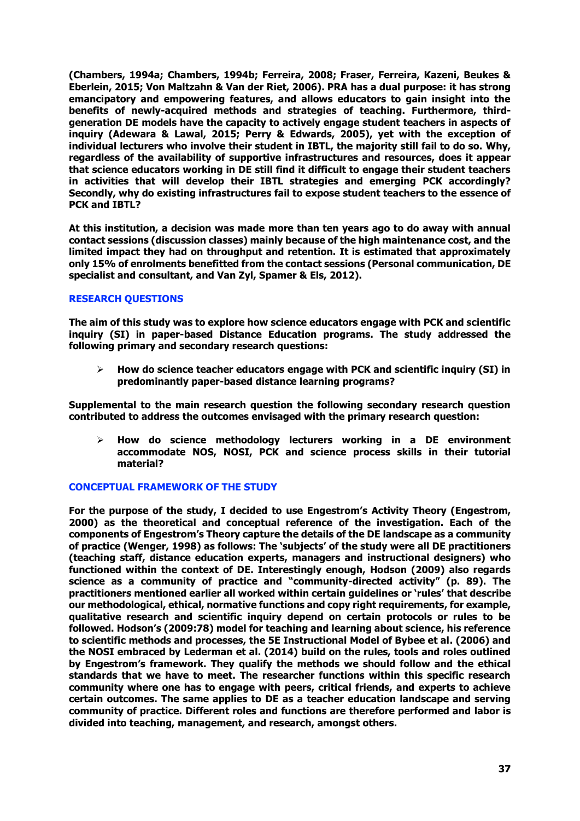**(Chambers, 1994a; Chambers, 1994b; Ferreira, 2008; Fraser, Ferreira, Kazeni, Beukes & Eberlein, 2015; Von Maltzahn & Van der Riet, 2006). PRA has a dual purpose: it has strong emancipatory and empowering features, and allows educators to gain insight into the benefits of newly-acquired methods and strategies of teaching. Furthermore, thirdgeneration DE models have the capacity to actively engage student teachers in aspects of inquiry (Adewara & Lawal, 2015; Perry & Edwards, 2005), yet with the exception of individual lecturers who involve their student in IBTL, the majority still fail to do so. Why, regardless of the availability of supportive infrastructures and resources, does it appear that science educators working in DE still find it difficult to engage their student teachers in activities that will develop their IBTL strategies and emerging PCK accordingly? Secondly, why do existing infrastructures fail to expose student teachers to the essence of PCK and IBTL?** 

**At this institution, a decision was made more than ten years ago to do away with annual contact sessions (discussion classes) mainly because of the high maintenance cost, and the limited impact they had on throughput and retention. It is estimated that approximately only 15% of enrolments benefitted from the contact sessions (Personal communication, DE specialist and consultant, and Van Zyl, Spamer & Els, 2012).** 

### **RESEARCH QUESTIONS**

**The aim of this study was to explore how science educators engage with PCK and scientific inquiry (SI) in paper-based Distance Education programs. The study addressed the following primary and secondary research questions:**

 **How do science teacher educators engage with PCK and scientific inquiry (SI) in predominantly paper-based distance learning programs?**

**Supplemental to the main research question the following secondary research question contributed to address the outcomes envisaged with the primary research question:**

 **How do science methodology lecturers working in a DE environment accommodate NOS, NOSI, PCK and science process skills in their tutorial material?**

### **CONCEPTUAL FRAMEWORK OF THE STUDY**

**For the purpose of the study, I decided to use Engestrom's Activity Theory (Engestrom, 2000) as the theoretical and conceptual reference of the investigation. Each of the components of Engestrom's Theory capture the details of the DE landscape as a community of practice (Wenger, 1998) as follows: The 'subjects' of the study were all DE practitioners (teaching staff, distance education experts, managers and instructional designers) who functioned within the context of DE. Interestingly enough, Hodson (2009) also regards science as a community of practice and "community-directed activity" (p. 89). The practitioners mentioned earlier all worked within certain guidelines or 'rules' that describe our methodological, ethical, normative functions and copy right requirements, for example, qualitative research and scientific inquiry depend on certain protocols or rules to be followed. Hodson's (2009:78) model for teaching and learning about science, his reference to scientific methods and processes, the 5E Instructional Model of Bybee et al. (2006) and the NOSI embraced by Lederman et al. (2014) build on the rules, tools and roles outlined by Engestrom's framework. They qualify the methods we should follow and the ethical standards that we have to meet. The researcher functions within this specific research community where one has to engage with peers, critical friends, and experts to achieve certain outcomes. The same applies to DE as a teacher education landscape and serving community of practice. Different roles and functions are therefore performed and labor is divided into teaching, management, and research, amongst others.**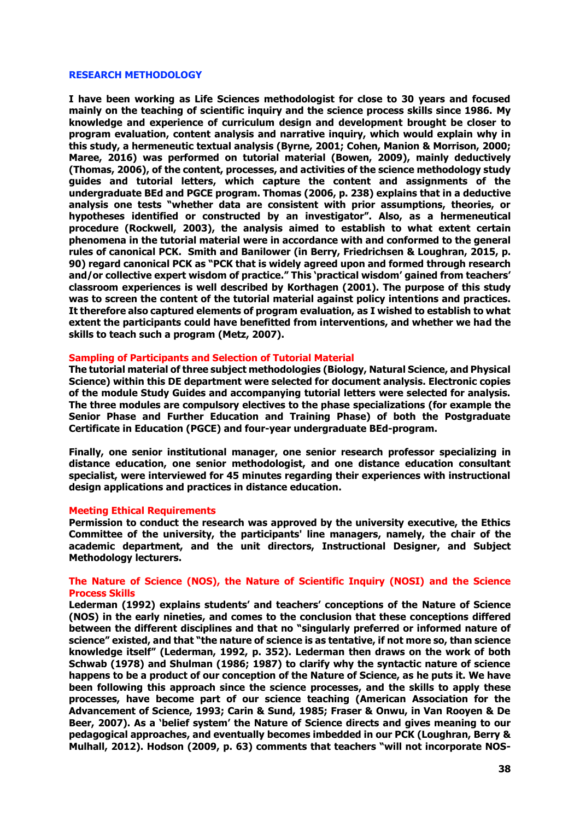#### **RESEARCH METHODOLOGY**

**I have been working as Life Sciences methodologist for close to 30 years and focused mainly on the teaching of scientific inquiry and the science process skills since 1986. My knowledge and experience of curriculum design and development brought be closer to program evaluation, content analysis and narrative inquiry, which would explain why in this study, a hermeneutic textual analysis (Byrne, 2001; Cohen, Manion & Morrison, 2000; Maree, 2016) was performed on tutorial material (Bowen, 2009), mainly deductively (Thomas, 2006), of the content, processes, and activities of the science methodology study guides and tutorial letters, which capture the content and assignments of the undergraduate BEd and PGCE program. Thomas (2006, p. 238) explains that in a deductive analysis one tests "whether data are consistent with prior assumptions, theories, or hypotheses identified or constructed by an investigator". Also, as a hermeneutical procedure (Rockwell, 2003), the analysis aimed to establish to what extent certain phenomena in the tutorial material were in accordance with and conformed to the general rules of canonical PCK. Smith and Banilower (in Berry, Friedrichsen & Loughran, 2015, p. 90) regard canonical PCK as "PCK that is widely agreed upon and formed through research and/or collective expert wisdom of practice." This 'practical wisdom' gained from teachers' classroom experiences is well described by Korthagen (2001). The purpose of this study was to screen the content of the tutorial material against policy intentions and practices. It therefore also captured elements of program evaluation, as I wished to establish to what extent the participants could have benefitted from interventions, and whether we had the skills to teach such a program (Metz, 2007).**

#### **Sampling of Participants and Selection of Tutorial Material**

**The tutorial material of three subject methodologies (Biology, Natural Science, and Physical Science) within this DE department were selected for document analysis. Electronic copies of the module Study Guides and accompanying tutorial letters were selected for analysis. The three modules are compulsory electives to the phase specializations (for example the Senior Phase and Further Education and Training Phase) of both the Postgraduate Certificate in Education (PGCE) and four-year undergraduate BEd-program.** 

**Finally, one senior institutional manager, one senior research professor specializing in distance education, one senior methodologist, and one distance education consultant specialist, were interviewed for 45 minutes regarding their experiences with instructional design applications and practices in distance education.**

#### **Meeting Ethical Requirements**

**Permission to conduct the research was approved by the university executive, the Ethics Committee of the university, the participants' line managers, namely, the chair of the academic department, and the unit directors, Instructional Designer, and Subject Methodology lecturers.**

### **The Nature of Science (NOS), the Nature of Scientific Inquiry (NOSI) and the Science Process Skills**

**Lederman (1992) explains students' and teachers' conceptions of the Nature of Science (NOS) in the early nineties, and comes to the conclusion that these conceptions differed between the different disciplines and that no "singularly preferred or informed nature of science" existed, and that "the nature of science is as tentative, if not more so, than science knowledge itself" (Lederman, 1992, p. 352). Lederman then draws on the work of both Schwab (1978) and Shulman (1986; 1987) to clarify why the syntactic nature of science happens to be a product of our conception of the Nature of Science, as he puts it. We have been following this approach since the science processes, and the skills to apply these processes, have become part of our science teaching (American Association for the Advancement of Science, 1993; Carin & Sund, 1985; Fraser & Onwu, in Van Rooyen & De Beer, 2007). As a 'belief system' the Nature of Science directs and gives meaning to our pedagogical approaches, and eventually becomes imbedded in our PCK (Loughran, Berry & Mulhall, 2012). Hodson (2009, p. 63) comments that teachers "will not incorporate NOS-**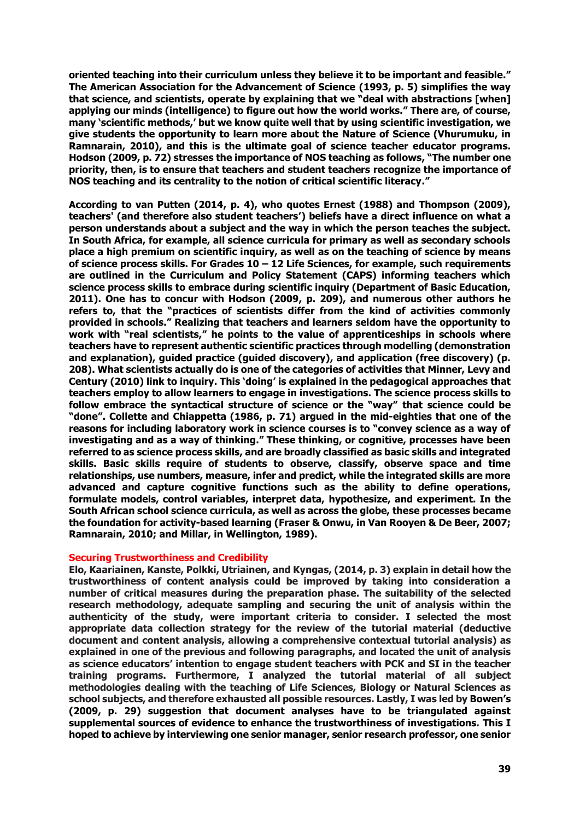**oriented teaching into their curriculum unless they believe it to be important and feasible." The American Association for the Advancement of Science (1993, p. 5) simplifies the way that science, and scientists, operate by explaining that we "deal with abstractions [when] applying our minds (intelligence) to figure out how the world works." There are, of course, many 'scientific methods,' but we know quite well that by using scientific investigation, we give students the opportunity to learn more about the Nature of Science (Vhurumuku, in Ramnarain, 2010), and this is the ultimate goal of science teacher educator programs. Hodson (2009, p. 72) stresses the importance of NOS teaching as follows, "The number one priority, then, is to ensure that teachers and student teachers recognize the importance of NOS teaching and its centrality to the notion of critical scientific literacy."** 

**According to van Putten (2014, p. 4), who quotes Ernest (1988) and Thompson (2009), teachers' (and therefore also student teachers') beliefs have a direct influence on what a person understands about a subject and the way in which the person teaches the subject. In South Africa, for example, all science curricula for primary as well as secondary schools place a high premium on scientific inquiry, as well as on the teaching of science by means of science process skills. For Grades 10 – 12 Life Sciences, for example, such requirements are outlined in the Curriculum and Policy Statement (CAPS) informing teachers which science process skills to embrace during scientific inquiry (Department of Basic Education, 2011). One has to concur with Hodson (2009, p. 209), and numerous other authors he refers to, that the "practices of scientists differ from the kind of activities commonly provided in schools." Realizing that teachers and learners seldom have the opportunity to work with "real scientists," he points to the value of apprenticeships in schools where teachers have to represent authentic scientific practices through modelling (demonstration and explanation), guided practice (guided discovery), and application (free discovery) (p. 208). What scientists actually do is one of the categories of activities that Minner, Levy and Century (2010) link to inquiry. This 'doing' is explained in the pedagogical approaches that teachers employ to allow learners to engage in investigations. The science process skills to follow embrace the syntactical structure of science or the "way" that science could be "done". Collette and Chiappetta (1986, p. 71) argued in the mid-eighties that one of the reasons for including laboratory work in science courses is to "convey science as a way of investigating and as a way of thinking." These thinking, or cognitive, processes have been referred to as science process skills, and are broadly classified as basic skills and integrated skills. Basic skills require of students to observe, classify, observe space and time relationships, use numbers, measure, infer and predict, while the integrated skills are more advanced and capture cognitive functions such as the ability to define operations, formulate models, control variables, interpret data, hypothesize, and experiment. In the South African school science curricula, as well as across the globe, these processes became the foundation for activity-based learning (Fraser & Onwu, in Van Rooyen & De Beer, 2007; Ramnarain, 2010; and Millar, in Wellington, 1989).** 

### **Securing Trustworthiness and Credibility**

**Elo, Kaariainen, Kanste, Polkki, Utriainen, and Kyngas, (2014, p. 3) explain in detail how the trustworthiness of content analysis could be improved by taking into consideration a number of critical measures during the preparation phase. The suitability of the selected research methodology, adequate sampling and securing the unit of analysis within the authenticity of the study, were important criteria to consider. I selected the most appropriate data collection strategy for the review of the tutorial material (deductive document and content analysis, allowing a comprehensive contextual tutorial analysis) as explained in one of the previous and following paragraphs, and located the unit of analysis as science educators' intention to engage student teachers with PCK and SI in the teacher training programs. Furthermore, I analyzed the tutorial material of all subject methodologies dealing with the teaching of Life Sciences, Biology or Natural Sciences as school subjects, and therefore exhausted all possible resources. Lastly, I was led by Bowen's (2009, p. 29) suggestion that document analyses have to be triangulated against supplemental sources of evidence to enhance the trustworthiness of investigations. This I hoped to achieve by interviewing one senior manager, senior research professor, one senior**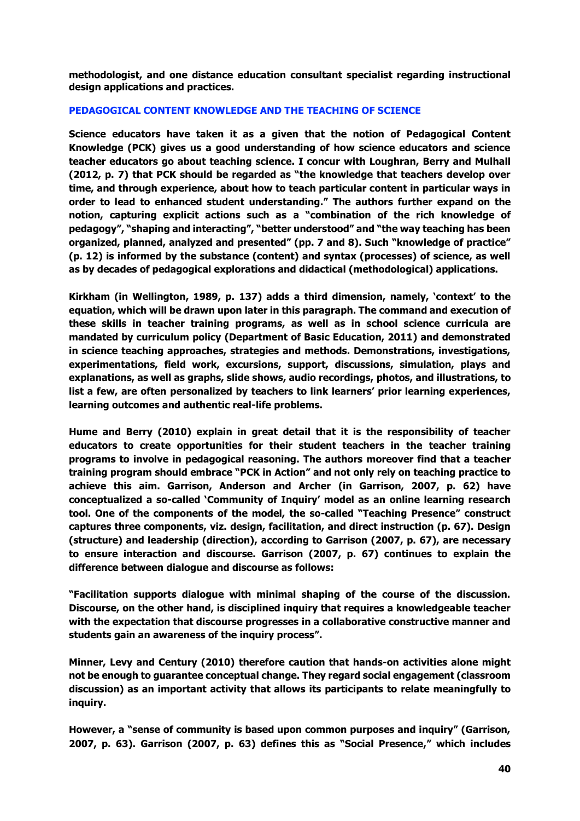**methodologist, and one distance education consultant specialist regarding instructional design applications and practices.**

### **PEDAGOGICAL CONTENT KNOWLEDGE AND THE TEACHING OF SCIENCE**

**Science educators have taken it as a given that the notion of Pedagogical Content Knowledge (PCK) gives us a good understanding of how science educators and science teacher educators go about teaching science. I concur with Loughran, Berry and Mulhall (2012, p. 7) that PCK should be regarded as "the knowledge that teachers develop over time, and through experience, about how to teach particular content in particular ways in order to lead to enhanced student understanding." The authors further expand on the notion, capturing explicit actions such as a "combination of the rich knowledge of pedagogy", "shaping and interacting", "better understood" and "the way teaching has been organized, planned, analyzed and presented" (pp. 7 and 8). Such "knowledge of practice" (p. 12) is informed by the substance (content) and syntax (processes) of science, as well as by decades of pedagogical explorations and didactical (methodological) applications.** 

**Kirkham (in Wellington, 1989, p. 137) adds a third dimension, namely, 'context' to the equation, which will be drawn upon later in this paragraph. The command and execution of these skills in teacher training programs, as well as in school science curricula are mandated by curriculum policy (Department of Basic Education, 2011) and demonstrated in science teaching approaches, strategies and methods. Demonstrations, investigations, experimentations, field work, excursions, support, discussions, simulation, plays and explanations, as well as graphs, slide shows, audio recordings, photos, and illustrations, to list a few, are often personalized by teachers to link learners' prior learning experiences, learning outcomes and authentic real-life problems.** 

**Hume and Berry (2010) explain in great detail that it is the responsibility of teacher educators to create opportunities for their student teachers in the teacher training programs to involve in pedagogical reasoning. The authors moreover find that a teacher training program should embrace "PCK in Action" and not only rely on teaching practice to achieve this aim. Garrison, Anderson and Archer (in Garrison, 2007, p. 62) have conceptualized a so-called 'Community of Inquiry' model as an online learning research tool. One of the components of the model, the so-called "Teaching Presence" construct captures three components, viz. design, facilitation, and direct instruction (p. 67). Design (structure) and leadership (direction), according to Garrison (2007, p. 67), are necessary to ensure interaction and discourse. Garrison (2007, p. 67) continues to explain the difference between dialogue and discourse as follows:**

**"Facilitation supports dialogue with minimal shaping of the course of the discussion. Discourse, on the other hand, is disciplined inquiry that requires a knowledgeable teacher with the expectation that discourse progresses in a collaborative constructive manner and students gain an awareness of the inquiry process".** 

**Minner, Levy and Century (2010) therefore caution that hands-on activities alone might not be enough to guarantee conceptual change. They regard social engagement (classroom discussion) as an important activity that allows its participants to relate meaningfully to inquiry.** 

**However, a "sense of community is based upon common purposes and inquiry" (Garrison, 2007, p. 63). Garrison (2007, p. 63) defines this as "Social Presence," which includes**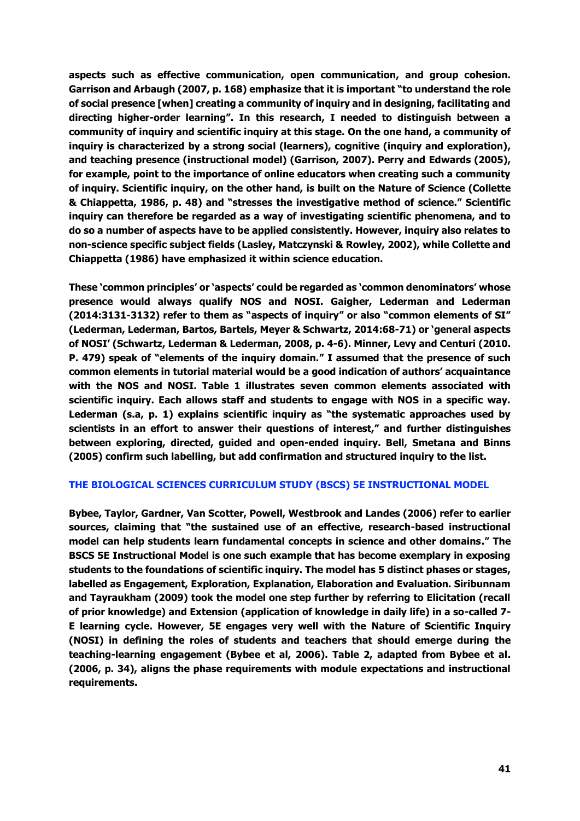**aspects such as effective communication, open communication, and group cohesion. Garrison and Arbaugh (2007, p. 168) emphasize that it is important "to understand the role of social presence [when] creating a community of inquiry and in designing, facilitating and directing higher-order learning". In this research, I needed to distinguish between a community of inquiry and scientific inquiry at this stage. On the one hand, a community of inquiry is characterized by a strong social (learners), cognitive (inquiry and exploration), and teaching presence (instructional model) (Garrison, 2007). Perry and Edwards (2005), for example, point to the importance of online educators when creating such a community of inquiry. Scientific inquiry, on the other hand, is built on the Nature of Science (Collette & Chiappetta, 1986, p. 48) and "stresses the investigative method of science." Scientific inquiry can therefore be regarded as a way of investigating scientific phenomena, and to do so a number of aspects have to be applied consistently. However, inquiry also relates to non-science specific subject fields (Lasley, Matczynski & Rowley, 2002), while Collette and Chiappetta (1986) have emphasized it within science education.**

**These 'common principles' or 'aspects' could be regarded as 'common denominators' whose presence would always qualify NOS and NOSI. Gaigher, Lederman and Lederman (2014:3131-3132) refer to them as "aspects of inquiry" or also "common elements of SI" (Lederman, Lederman, Bartos, Bartels, Meyer & Schwartz, 2014:68-71) or 'general aspects of NOSI' (Schwartz, Lederman & Lederman, 2008, p. 4-6). Minner, Levy and Centuri (2010. P. 479) speak of "elements of the inquiry domain." I assumed that the presence of such common elements in tutorial material would be a good indication of authors' acquaintance with the NOS and NOSI. Table 1 illustrates seven common elements associated with scientific inquiry. Each allows staff and students to engage with NOS in a specific way. Lederman (s.a, p. 1) explains scientific inquiry as "the systematic approaches used by scientists in an effort to answer their questions of interest," and further distinguishes between exploring, directed, guided and open-ended inquiry. Bell, Smetana and Binns (2005) confirm such labelling, but add confirmation and structured inquiry to the list.**

### **THE BIOLOGICAL SCIENCES CURRICULUM STUDY (BSCS) 5E INSTRUCTIONAL MODEL**

**Bybee, Taylor, Gardner, Van Scotter, Powell, Westbrook and Landes (2006) refer to earlier sources, claiming that "the sustained use of an effective, research-based instructional model can help students learn fundamental concepts in science and other domains." The BSCS 5E Instructional Model is one such example that has become exemplary in exposing students to the foundations of scientific inquiry. The model has 5 distinct phases or stages, labelled as Engagement, Exploration, Explanation, Elaboration and Evaluation. Siribunnam and Tayraukham (2009) took the model one step further by referring to Elicitation (recall of prior knowledge) and Extension (application of knowledge in daily life) in a so-called 7- E learning cycle. However, 5E engages very well with the Nature of Scientific Inquiry (NOSI) in defining the roles of students and teachers that should emerge during the teaching-learning engagement (Bybee et al, 2006). Table 2, adapted from Bybee et al. (2006, p. 34), aligns the phase requirements with module expectations and instructional requirements.**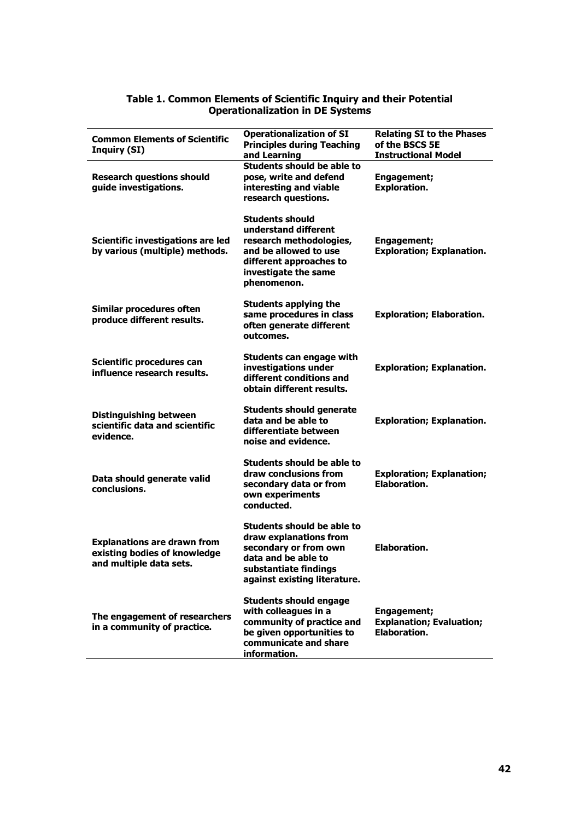| <b>Common Elements of Scientific</b><br><b>Inquiry (SI)</b>                                   | <b>Operationalization of SI</b><br><b>Principles during Teaching</b><br>and Learning                                                                                 | <b>Relating SI to the Phases</b><br>of the BSCS 5E<br><b>Instructional Model</b> |
|-----------------------------------------------------------------------------------------------|----------------------------------------------------------------------------------------------------------------------------------------------------------------------|----------------------------------------------------------------------------------|
| <b>Research questions should</b><br>guide investigations.                                     | Students should be able to<br>pose, write and defend<br>interesting and viable<br>research questions.                                                                | <b>Engagement;</b><br><b>Exploration.</b>                                        |
| Scientific investigations are led<br>by various (multiple) methods.                           | <b>Students should</b><br>understand different<br>research methodologies,<br>and be allowed to use<br>different approaches to<br>investigate the same<br>phenomenon. | Engagement;<br><b>Exploration; Explanation.</b>                                  |
| Similar procedures often<br>produce different results.                                        | <b>Students applying the</b><br>same procedures in class<br>often generate different<br>outcomes.                                                                    | <b>Exploration; Elaboration.</b>                                                 |
| Scientific procedures can<br>influence research results.                                      | Students can engage with<br>investigations under<br>different conditions and<br>obtain different results.                                                            | <b>Exploration; Explanation.</b>                                                 |
| Distinguishing between<br>scientific data and scientific<br>evidence.                         | <b>Students should generate</b><br>data and be able to<br>differentiate between<br>noise and evidence.                                                               | <b>Exploration; Explanation.</b>                                                 |
| Data should generate valid<br>conclusions.                                                    | Students should be able to<br>draw conclusions from<br>secondary data or from<br>own experiments<br>conducted.                                                       | <b>Exploration; Explanation;</b><br><b>Elaboration.</b>                          |
| <b>Explanations are drawn from</b><br>existing bodies of knowledge<br>and multiple data sets. | Students should be able to<br>draw explanations from<br>secondary or from own<br>data and be able to<br>substantiate findings<br>against existing literature.        | <b>Elaboration.</b>                                                              |
| The engagement of researchers<br>in a community of practice.                                  | <b>Students should engage</b><br>with colleagues in a<br>community of practice and<br>be given opportunities to<br>communicate and share<br>information.             | <b>Engagement;</b><br><b>Explanation; Evaluation;</b><br><b>Elaboration.</b>     |

### **Table 1. Common Elements of Scientific Inquiry and their Potential Operationalization in DE Systems**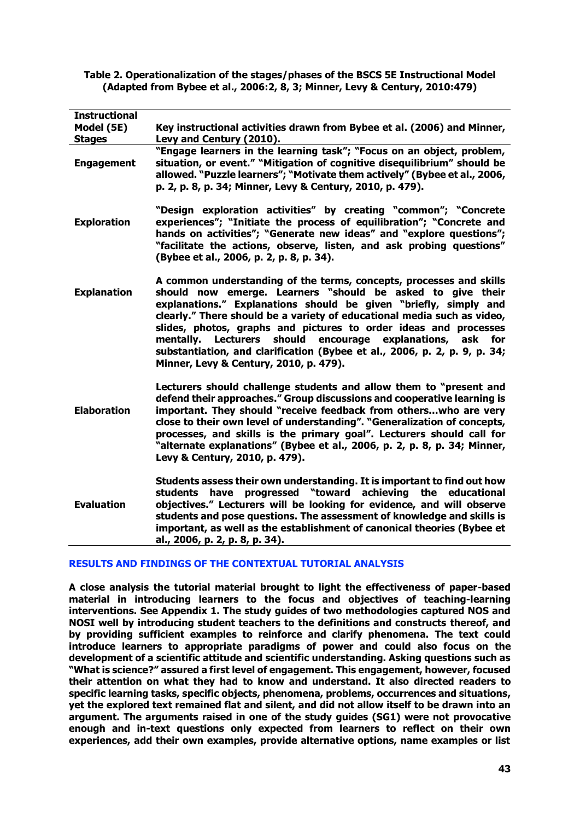**Table 2. Operationalization of the stages/phases of the BSCS 5E Instructional Model (Adapted from Bybee et al., 2006:2, 8, 3; Minner, Levy & Century, 2010:479)**

| <b>Instructional</b> |                                                                                                                                                                                                                                                                                                                                                                                                                                                                                                                                              |  |  |
|----------------------|----------------------------------------------------------------------------------------------------------------------------------------------------------------------------------------------------------------------------------------------------------------------------------------------------------------------------------------------------------------------------------------------------------------------------------------------------------------------------------------------------------------------------------------------|--|--|
| Model (5E)           | Key instructional activities drawn from Bybee et al. (2006) and Minner,                                                                                                                                                                                                                                                                                                                                                                                                                                                                      |  |  |
| <b>Stages</b>        | Levy and Century (2010).                                                                                                                                                                                                                                                                                                                                                                                                                                                                                                                     |  |  |
| <b>Engagement</b>    | "Engage learners in the learning task"; "Focus on an object, problem,<br>situation, or event." "Mitigation of cognitive disequilibrium" should be<br>allowed. "Puzzle learners"; "Motivate them actively" (Bybee et al., 2006,<br>p. 2, p. 8, p. 34; Minner, Levy & Century, 2010, p. 479).                                                                                                                                                                                                                                                  |  |  |
| <b>Exploration</b>   | "Design exploration activities" by creating "common"; "Concrete<br>experiences"; "Initiate the process of equilibration"; "Concrete and<br>hands on activities"; "Generate new ideas" and "explore questions";<br>"facilitate the actions, observe, listen, and ask probing questions"<br>(Bybee et al., 2006, p. 2, p. 8, p. 34).                                                                                                                                                                                                           |  |  |
| <b>Explanation</b>   | A common understanding of the terms, concepts, processes and skills<br>should now emerge. Learners "should be asked to give their<br>explanations." Explanations should be given "briefly, simply and<br>clearly." There should be a variety of educational media such as video,<br>slides, photos, graphs and pictures to order ideas and processes<br>should encourage explanations, ask for<br>mentally. Lecturers<br>substantiation, and clarification (Bybee et al., 2006, p. 2, p. 9, p. 34;<br>Minner, Levy & Century, 2010, p. 479). |  |  |
| <b>Elaboration</b>   | Lecturers should challenge students and allow them to "present and<br>defend their approaches." Group discussions and cooperative learning is<br>important. They should "receive feedback from otherswho are very<br>close to their own level of understanding". "Generalization of concepts,<br>processes, and skills is the primary goal". Lecturers should call for<br>"alternate explanations" (Bybee et al., 2006, p. 2, p. 8, p. 34; Minner,<br>Levy & Century, 2010, p. 479).                                                         |  |  |
| <b>Evaluation</b>    | Students assess their own understanding. It is important to find out how<br>progressed "toward achieving the educational<br>have<br>students<br>objectives." Lecturers will be looking for evidence, and will observe<br>students and pose questions. The assessment of knowledge and skills is<br>important, as well as the establishment of canonical theories (Bybee et<br>al., 2006, p. 2, p. 8, p. 34).                                                                                                                                 |  |  |

### **RESULTS AND FINDINGS OF THE CONTEXTUAL TUTORIAL ANALYSIS**

**A close analysis the tutorial material brought to light the effectiveness of paper-based material in introducing learners to the focus and objectives of teaching-learning interventions. See Appendix 1. The study guides of two methodologies captured NOS and NOSI well by introducing student teachers to the definitions and constructs thereof, and by providing sufficient examples to reinforce and clarify phenomena. The text could introduce learners to appropriate paradigms of power and could also focus on the development of a scientific attitude and scientific understanding. Asking questions such as "What is science?" assured a first level of engagement. This engagement, however, focused their attention on what they had to know and understand. It also directed readers to specific learning tasks, specific objects, phenomena, problems, occurrences and situations, yet the explored text remained flat and silent, and did not allow itself to be drawn into an argument. The arguments raised in one of the study guides (SG1) were not provocative enough and in-text questions only expected from learners to reflect on their own experiences, add their own examples, provide alternative options, name examples or list**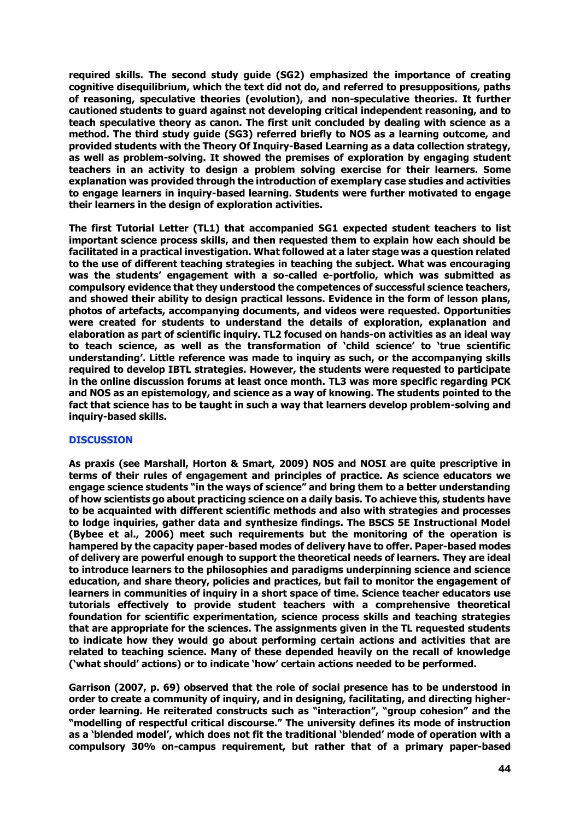**required skills. The second study guide (SG2) emphasized the importance of creating cognitive disequilibrium, which the text did not do, and referred to presuppositions, paths of reasoning, speculative theories (evolution), and non-speculative theories. It further cautioned students to guard against not developing critical independent reasoning, and to teach speculative theory as canon. The first unit concluded by dealing with science as a method. The third study guide (SG3) referred briefly to NOS as a learning outcome, and provided students with the Theory Of Inquiry-Based Learning as a data collection strategy, as well as problem-solving. It showed the premises of exploration by engaging student teachers in an activity to design a problem solving exercise for their learners. Some explanation was provided through the introduction of exemplary case studies and activities to engage learners in inquiry-based learning. Students were further motivated to engage their learners in the design of exploration activities.**

**The first Tutorial Letter (TL1) that accompanied SG1 expected student teachers to list important science process skills, and then requested them to explain how each should be facilitated in a practical investigation. What followed at a later stage was a question related to the use of different teaching strategies in teaching the subject. What was encouraging was the students' engagement with a so-called e-portfolio, which was submitted as compulsory evidence that they understood the competences of successful science teachers, and showed their ability to design practical lessons. Evidence in the form of lesson plans, photos of artefacts, accompanying documents, and videos were requested. Opportunities were created for students to understand the details of exploration, explanation and elaboration as part of scientific inquiry. TL2 focused on hands-on activities as an ideal way to teach science, as well as the transformation of 'child science' to 'true scientific understanding'. Little reference was made to inquiry as such, or the accompanying skills required to develop IBTL strategies. However, the students were requested to participate in the online discussion forums at least once month. TL3 was more specific regarding PCK and NOS as an epistemology, and science as a way of knowing. The students pointed to the fact that science has to be taught in such a way that learners develop problem-solving and inquiry-based skills.** 

### **DISCUSSION**

**As praxis (see Marshall, Horton & Smart, 2009) NOS and NOSI are quite prescriptive in terms of their rules of engagement and principles of practice. As science educators we engage science students "in the ways of science" and bring them to a better understanding of how scientists go about practicing science on a daily basis. To achieve this, students have to be acquainted with different scientific methods and also with strategies and processes to lodge inquiries, gather data and synthesize findings. The BSCS 5E Instructional Model (Bybee et al., 2006) meet such requirements but the monitoring of the operation is hampered by the capacity paper-based modes of delivery have to offer. Paper-based modes of delivery are powerful enough to support the theoretical needs of learners. They are ideal to introduce learners to the philosophies and paradigms underpinning science and science education, and share theory, policies and practices, but fail to monitor the engagement of learners in communities of inquiry in a short space of time. Science teacher educators use tutorials effectively to provide student teachers with a comprehensive theoretical foundation for scientific experimentation, science process skills and teaching strategies that are appropriate for the sciences. The assignments given in the TL requested students to indicate how they would go about performing certain actions and activities that are related to teaching science. Many of these depended heavily on the recall of knowledge ('what should' actions) or to indicate 'how' certain actions needed to be performed.**

**Garrison (2007, p. 69) observed that the role of social presence has to be understood in order to create a community of inquiry, and in designing, facilitating, and directing higherorder learning. He reiterated constructs such as "interaction", "group cohesion" and the "modelling of respectful critical discourse." The university defines its mode of instruction as a 'blended model', which does not fit the traditional 'blended' mode of operation with a compulsory 30% on-campus requirement, but rather that of a primary paper-based**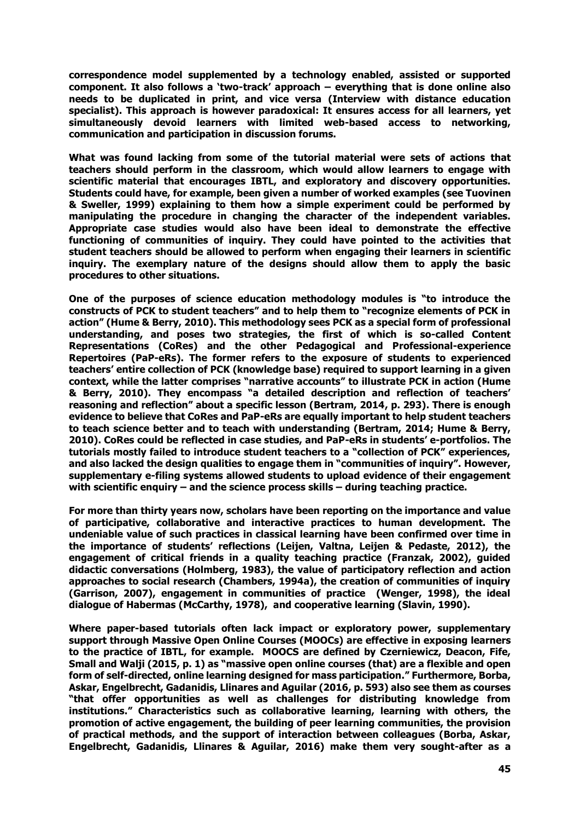**correspondence model supplemented by a technology enabled, assisted or supported component. It also follows a 'two-track' approach – everything that is done online also needs to be duplicated in print, and vice versa (Interview with distance education specialist). This approach is however paradoxical: It ensures access for all learners, yet simultaneously devoid learners with limited web-based access to networking, communication and participation in discussion forums.** 

**What was found lacking from some of the tutorial material were sets of actions that teachers should perform in the classroom, which would allow learners to engage with scientific material that encourages IBTL, and exploratory and discovery opportunities. Students could have, for example, been given a number of worked examples (see Tuovinen & Sweller, 1999) explaining to them how a simple experiment could be performed by manipulating the procedure in changing the character of the independent variables. Appropriate case studies would also have been ideal to demonstrate the effective functioning of communities of inquiry. They could have pointed to the activities that student teachers should be allowed to perform when engaging their learners in scientific inquiry. The exemplary nature of the designs should allow them to apply the basic procedures to other situations.** 

**One of the purposes of science education methodology modules is "to introduce the constructs of PCK to student teachers" and to help them to "recognize elements of PCK in action" (Hume & Berry, 2010). This methodology sees PCK as a special form of professional understanding, and poses two strategies, the first of which is so-called Content Representations (CoRes) and the other Pedagogical and Professional-experience Repertoires (PaP-eRs). The former refers to the exposure of students to experienced teachers' entire collection of PCK (knowledge base) required to support learning in a given context, while the latter comprises "narrative accounts" to illustrate PCK in action (Hume & Berry, 2010). They encompass "a detailed description and reflection of teachers' reasoning and reflection" about a specific lesson (Bertram, 2014, p. 293). There is enough evidence to believe that CoRes and PaP-eRs are equally important to help student teachers to teach science better and to teach with understanding (Bertram, 2014; Hume & Berry, 2010). CoRes could be reflected in case studies, and PaP-eRs in students' e-portfolios. The tutorials mostly failed to introduce student teachers to a "collection of PCK" experiences, and also lacked the design qualities to engage them in "communities of inquiry". However, supplementary e-filing systems allowed students to upload evidence of their engagement with scientific enquiry – and the science process skills – during teaching practice.** 

**For more than thirty years now, scholars have been reporting on the importance and value of participative, collaborative and interactive practices to human development. The undeniable value of such practices in classical learning have been confirmed over time in the importance of students' reflections (Leijen, Valtna, Leijen & Pedaste, 2012), the engagement of critical friends in a quality teaching practice (Franzak, 2002), guided didactic conversations (Holmberg, 1983), the value of participatory reflection and action approaches to social research (Chambers, 1994a), the creation of communities of inquiry (Garrison, 2007), engagement in communities of practice (Wenger, 1998), the ideal dialogue of Habermas (McCarthy, 1978), and cooperative learning (Slavin, 1990).**

**Where paper-based tutorials often lack impact or exploratory power, supplementary support through Massive Open Online Courses (MOOCs) are effective in exposing learners to the practice of IBTL, for example. MOOCS are defined by Czerniewicz, Deacon, Fife, Small and Walji (2015, p. 1) as "massive open online courses (that) are a flexible and open form of self-directed, online learning designed for mass participation." Furthermore, Borba, Askar, Engelbrecht, Gadanidis, Llinares and Aguilar (2016, p. 593) also see them as courses "that offer opportunities as well as challenges for distributing knowledge from institutions." Characteristics such as collaborative learning, learning with others, the promotion of active engagement, the building of peer learning communities, the provision of practical methods, and the support of interaction between colleagues (Borba, Askar, Engelbrecht, Gadanidis, Llinares & Aguilar, 2016) make them very sought-after as a**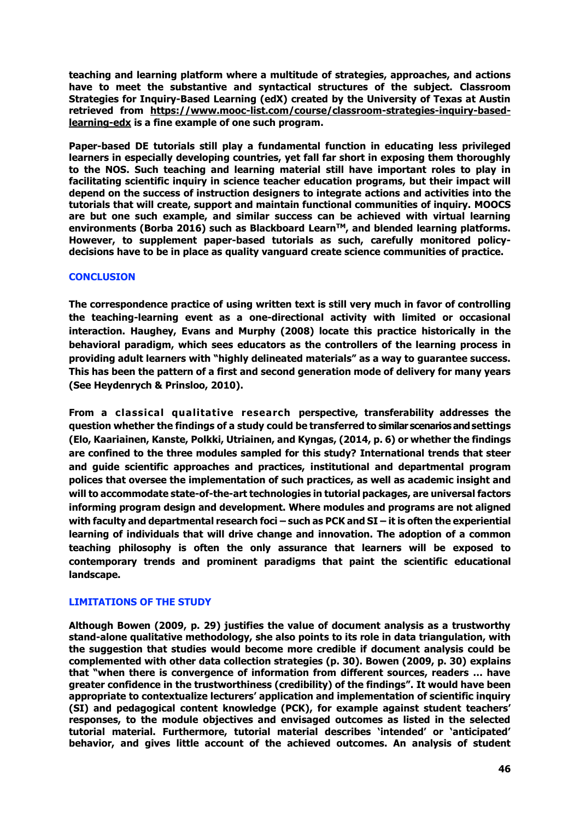**teaching and learning platform where a multitude of strategies, approaches, and actions have to meet the substantive and syntactical structures of the subject. Classroom Strategies for Inquiry-Based Learning (edX) created by the University of Texas at Austin retrieved from https://www.mooc-list.com/course/classroom-strategies-inquiry-basedlearning-edx is a fine example of one such program.**

**Paper-based DE tutorials still play a fundamental function in educating less privileged learners in especially developing countries, yet fall far short in exposing them thoroughly to the NOS. Such teaching and learning material still have important roles to play in facilitating scientific inquiry in science teacher education programs, but their impact will depend on the success of instruction designers to integrate actions and activities into the tutorials that will create, support and maintain functional communities of inquiry. MOOCS are but one such example, and similar success can be achieved with virtual learning environments (Borba 2016) such as Blackboard LearnTM, and blended learning platforms. However, to supplement paper-based tutorials as such, carefully monitored policydecisions have to be in place as quality vanguard create science communities of practice.** 

### **CONCLUSION**

**The correspondence practice of using written text is still very much in favor of controlling the teaching-learning event as a one-directional activity with limited or occasional interaction. Haughey, Evans and Murphy (2008) locate this practice historically in the behavioral paradigm, which sees educators as the controllers of the learning process in providing adult learners with "highly delineated materials" as a way to guarantee success. This has been the pattern of a first and second generation mode of delivery for many years (See Heydenrych & Prinsloo, 2010).**

**From a classical qualitative research perspective, transferability addresses the question whether the findings of a study could be transferred to similar scenarios and settings (Elo, Kaariainen, Kanste, Polkki, Utriainen, and Kyngas, (2014, p. 6) or whether the findings are confined to the three modules sampled for this study? International trends that steer and guide scientific approaches and practices, institutional and departmental program polices that oversee the implementation of such practices, as well as academic insight and will to accommodate state-of-the-art technologies in tutorial packages, are universal factors informing program design and development. Where modules and programs are not aligned with faculty and departmental research foci – such as PCK and SI – it is often the experiential learning of individuals that will drive change and innovation. The adoption of a common teaching philosophy is often the only assurance that learners will be exposed to contemporary trends and prominent paradigms that paint the scientific educational landscape.**

### **LIMITATIONS OF THE STUDY**

**Although Bowen (2009, p. 29) justifies the value of document analysis as a trustworthy stand-alone qualitative methodology, she also points to its role in data triangulation, with the suggestion that studies would become more credible if document analysis could be complemented with other data collection strategies (p. 30). Bowen (2009, p. 30) explains that "when there is convergence of information from different sources, readers … have greater confidence in the trustworthiness (credibility) of the findings". It would have been appropriate to contextualize lecturers' application and implementation of scientific inquiry (SI) and pedagogical content knowledge (PCK), for example against student teachers' responses, to the module objectives and envisaged outcomes as listed in the selected tutorial material. Furthermore, tutorial material describes 'intended' or 'anticipated' behavior, and gives little account of the achieved outcomes. An analysis of student**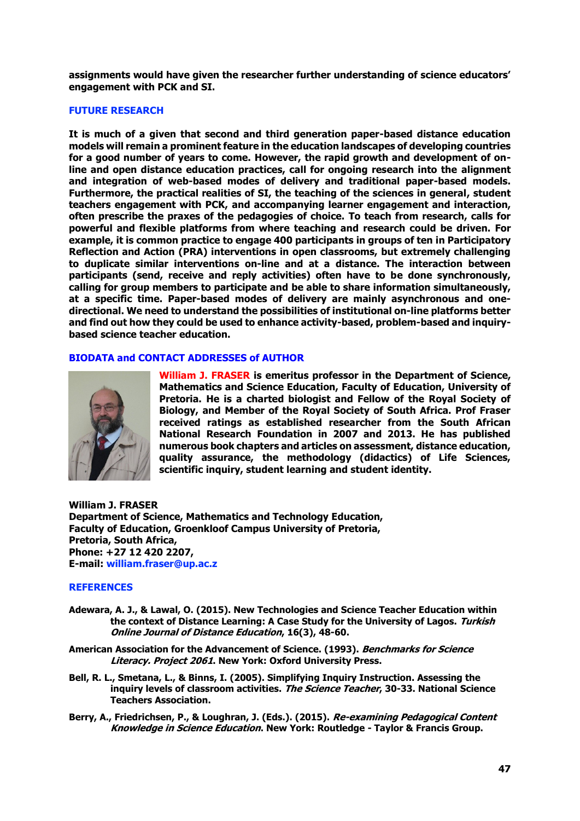**assignments would have given the researcher further understanding of science educators' engagement with PCK and SI.** 

### **FUTURE RESEARCH**

**It is much of a given that second and third generation paper-based distance education models will remain a prominent feature in the education landscapes of developing countries for a good number of years to come. However, the rapid growth and development of online and open distance education practices, call for ongoing research into the alignment and integration of web-based modes of delivery and traditional paper-based models. Furthermore, the practical realities of SI, the teaching of the sciences in general, student teachers engagement with PCK, and accompanying learner engagement and interaction, often prescribe the praxes of the pedagogies of choice. To teach from research, calls for powerful and flexible platforms from where teaching and research could be driven. For example, it is common practice to engage 400 participants in groups of ten in Participatory Reflection and Action (PRA) interventions in open classrooms, but extremely challenging to duplicate similar interventions on-line and at a distance. The interaction between participants (send, receive and reply activities) often have to be done synchronously, calling for group members to participate and be able to share information simultaneously, at a specific time. Paper-based modes of delivery are mainly asynchronous and onedirectional. We need to understand the possibilities of institutional on-line platforms better and find out how they could be used to enhance activity-based, problem-based and inquirybased science teacher education.** 

### **BIODATA and CONTACT ADDRESSES of AUTHOR**



**William J. FRASER is emeritus professor in the Department of Science, Mathematics and Science Education, Faculty of Education, University of Pretoria. He is a charted biologist and Fellow of the Royal Society of Biology, and Member of the Royal Society of South Africa. Prof Fraser received ratings as established researcher from the South African National Research Foundation in 2007 and 2013. He has published numerous book chapters and articles on assessment, distance education, quality assurance, the methodology (didactics) of Life Sciences, scientific inquiry, student learning and student identity.** 

**William J. FRASER Department of Science, Mathematics and Technology Education, Faculty of Education, Groenkloof Campus University of Pretoria, Pretoria, South Africa, Phone: +27 12 420 2207, E-mail: william.fraser@up.ac.z**

#### **REFERENCES**

- **Adewara, A. J., & Lawal, O. (2015). New Technologies and Science Teacher Education within the context of Distance Learning: A Case Study for the University of Lagos. Turkish Online Journal of Distance Education, 16(3), 48-60.**
- **American Association for the Advancement of Science. (1993). Benchmarks for Science Literacy. Project 2061. New York: Oxford University Press.**
- **Bell, R. L., Smetana, L., & Binns, I. (2005). Simplifying Inquiry Instruction. Assessing the inquiry levels of classroom activities. The Science Teacher, 30-33. National Science Teachers Association.**
- **Berry, A., Friedrichsen, P., & Loughran, J. (Eds.). (2015). Re-examining Pedagogical Content Knowledge in Science Education. New York: Routledge - Taylor & Francis Group.**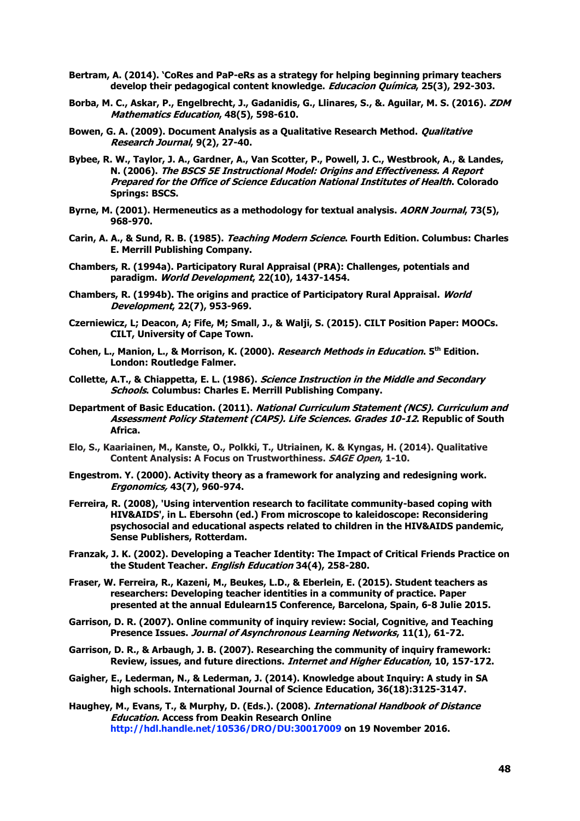- **Bertram, A. (2014). 'CoRes and PaP-eRs as a strategy for helping beginning primary teachers develop their pedagogical content knowledge. Educacion Química, 25(3), 292-303.**
- **Borba, M. C., Askar, P., Engelbrecht, J., Gadanidis, G., Llinares, S., &. Aguilar, M. S. (2016). ZDM Mathematics Education, 48(5), 598-610.**
- **Bowen, G. A. (2009). Document Analysis as a Qualitative Research Method. Qualitative Research Journal, 9(2), 27-40.**
- **Bybee, R. W., Taylor, J. A., Gardner, A., Van Scotter, P., Powell, J. C., Westbrook, A., & Landes, N. (2006). The BSCS 5E Instructional Model: Origins and Effectiveness. A Report Prepared for the Office of Science Education National Institutes of Health. Colorado Springs: BSCS.**
- **Byrne, M. (2001). Hermeneutics as a methodology for textual analysis. AORN Journal, 73(5), 968-970.**
- **Carin, A. A., & Sund, R. B. (1985). Teaching Modern Science. Fourth Edition. Columbus: Charles E. Merrill Publishing Company.**
- **Chambers, R. (1994a). Participatory Rural Appraisal (PRA): Challenges, potentials and paradigm. World Development, 22(10), 1437-1454.**
- **Chambers, R. (1994b). The origins and practice of Participatory Rural Appraisal. World Development, 22(7), 953-969.**
- **Czerniewicz, L; Deacon, A; Fife, M; Small, J., & Walji, S. (2015). CILT Position Paper: MOOCs. CILT, University of Cape Town.**
- **Cohen, L., Manion, L., & Morrison, K. (2000). Research Methods in Education. 5th Edition. London: Routledge Falmer.**
- **Collette, A.T., & Chiappetta, E. L. (1986). Science Instruction in the Middle and Secondary Schools. Columbus: Charles E. Merrill Publishing Company.**
- **Department of Basic Education. (2011). National Curriculum Statement (NCS). Curriculum and Assessment Policy Statement (CAPS). Life Sciences. Grades 10-12. Republic of South Africa.**
- **Elo, S., Kaariainen, M., Kanste, O., Polkki, T., Utriainen, K. & Kyngas, H. (2014). Qualitative Content Analysis: A Focus on Trustworthiness. SAGE Open, 1-10.**
- **Engestrom. Y. (2000). Activity theory as a framework for analyzing and redesigning work. Ergonomics, 43(7), 960-974.**
- **Ferreira, R. (2008), 'Using intervention research to facilitate community-based coping with HIV&AIDS', in L. Ebersohn (ed.) From microscope to kaleidoscope: Reconsidering psychosocial and educational aspects related to children in the HIV&AIDS pandemic, Sense Publishers, Rotterdam.**
- **Franzak, J. K. (2002). Developing a Teacher Identity: The Impact of Critical Friends Practice on the Student Teacher. English Education 34(4), 258-280.**
- **Fraser, W. Ferreira, R., Kazeni, M., Beukes, L.D., & Eberlein, E. (2015). Student teachers as researchers: Developing teacher identities in a community of practice. Paper presented at the annual Edulearn15 Conference, Barcelona, Spain, 6-8 Julie 2015.**
- **Garrison, D. R. (2007). Online community of inquiry review: Social, Cognitive, and Teaching Presence Issues. Journal of Asynchronous Learning Networks, 11(1), 61-72.**
- **Garrison, D. R., & Arbaugh, J. B. (2007). Researching the community of inquiry framework: Review, issues, and future directions. Internet and Higher Education, 10, 157-172.**
- **Gaigher, E., Lederman, N., & Lederman, J. (2014). Knowledge about Inquiry: A study in SA high schools. International Journal of Science Education, 36(18):3125-3147.**

**Haughey, M., Evans, T., & Murphy, D. (Eds.). (2008). International Handbook of Distance Education. Access from Deakin Research Online http://hdl.handle.net/10536/DRO/DU:30017009 on 19 November 2016.**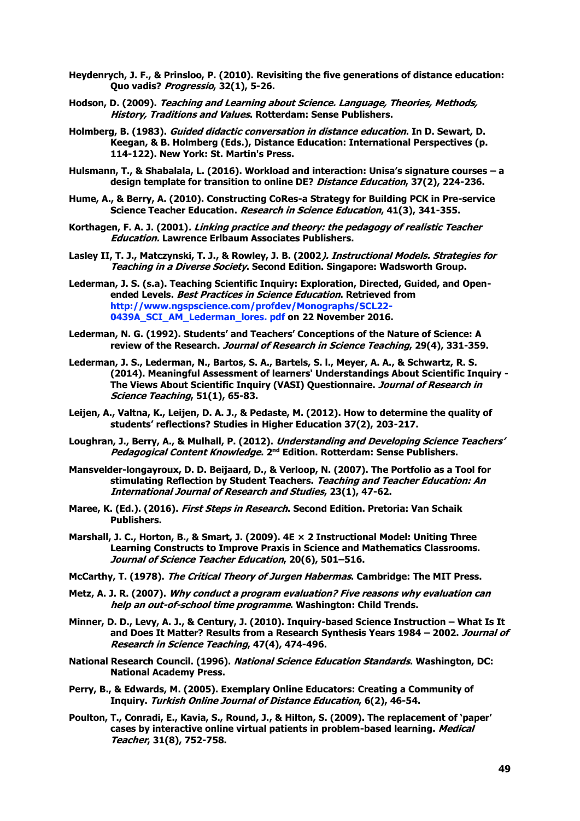- **Heydenrych, J. F., & Prinsloo, P. (2010). Revisiting the five generations of distance education: Quo vadis? Progressio, 32(1), 5-26.**
- **Hodson, D. (2009). Teaching and Learning about Science. Language, Theories, Methods, History, Traditions and Values. Rotterdam: Sense Publishers.**
- **Holmberg, B. (1983). Guided didactic conversation in distance education. In D. Sewart, D. Keegan, & B. Holmberg (Eds.), Distance Education: International Perspectives (p. 114-122). New York: St. Martin's Press.**
- **Hulsmann, T., & Shabalala, L. (2016). Workload and interaction: Unisa's signature courses – a design template for transition to online DE? Distance Education, 37(2), 224-236.**
- **Hume, A., & Berry, A. (2010). Constructing CoRes-a Strategy for Building PCK in Pre-service Science Teacher Education. Research in Science Education, 41(3), 341-355.**
- **Korthagen, F. A. J. (2001). Linking practice and theory: the pedagogy of realistic Teacher Education. Lawrence Erlbaum Associates Publishers.**
- **Lasley II, T. J., Matczynski, T. J., & Rowley, J. B. (2002). Instructional Models. Strategies for Teaching in a Diverse Society. Second Edition. Singapore: Wadsworth Group.**
- **Lederman, J. S. (s.a). Teaching Scientific Inquiry: Exploration, Directed, Guided, and Openended Levels. Best Practices in Science Education. Retrieved from http://www.ngspscience.com/profdev/Monographs/SCL22- 0439A\_SCI\_AM\_Lederman\_lores. pdf on 22 November 2016.**
- **Lederman, N. G. (1992). Students' and Teachers' Conceptions of the Nature of Science: A review of the Research. Journal of Research in Science Teaching, 29(4), 331-359.**
- **Lederman, J. S., Lederman, N., Bartos, S. A., Bartels, S. l., Meyer, A. A., & Schwartz, R. S. (2014). Meaningful Assessment of learners' Understandings About Scientific Inquiry - The Views About Scientific Inquiry (VASI) Questionnaire. Journal of Research in Science Teaching, 51(1), 65-83.**
- **Leijen, A., Valtna, K., Leijen, D. A. J., & Pedaste, M. (2012). How to determine the quality of students' reflections? Studies in Higher Education 37(2), 203-217.**
- **Loughran, J., Berry, A., & Mulhall, P. (2012). Understanding and Developing Science Teachers' Pedagogical Content Knowledge. 2nd Edition. Rotterdam: Sense Publishers.**
- **Mansvelder-longayroux, D. D. Beijaard, D., & Verloop, N. (2007). The Portfolio as a Tool for stimulating Reflection by Student Teachers. Teaching and Teacher Education: An International Journal of Research and Studies, 23(1), 47-62.**
- **Maree, K. (Ed.). (2016). First Steps in Research. Second Edition. Pretoria: Van Schaik Publishers.**
- **Marshall, J. C., Horton, B., & Smart, J. (2009). 4E × 2 Instructional Model: Uniting Three Learning Constructs to Improve Praxis in Science and Mathematics Classrooms. Journal of Science Teacher Education, 20(6), 501–516.**
- **McCarthy, T. (1978). The Critical Theory of Jurgen Habermas. Cambridge: The MIT Press.**
- **Metz, A. J. R. (2007). Why conduct a program evaluation? Five reasons why evaluation can help an out-of-school time programme. Washington: Child Trends.**
- **Minner, D. D., Levy, A. J., & Century, J. (2010). Inquiry-based Science Instruction What Is It and Does It Matter? Results from a Research Synthesis Years 1984 – 2002. Journal of Research in Science Teaching, 47(4), 474-496.**
- **National Research Council. (1996). National Science Education Standards. Washington, DC: National Academy Press.**
- **Perry, B., & Edwards, M. (2005). Exemplary Online Educators: Creating a Community of Inquiry. Turkish Online Journal of Distance Education, 6(2), 46-54.**
- **Poulton, T., Conradi, E., Kavia, S., Round, J., & Hilton, S. (2009). The replacement of 'paper' cases by interactive online virtual patients in problem-based learning. Medical Teacher, 31(8), 752-758.**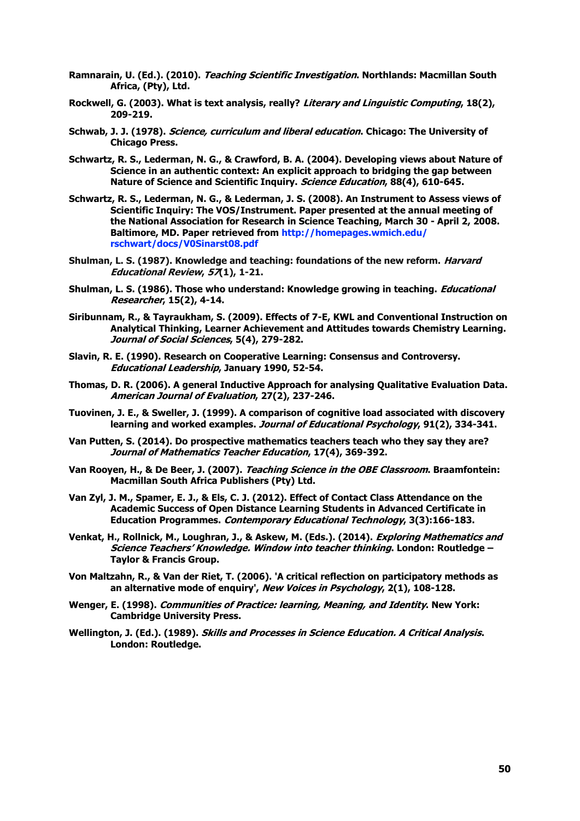- **Ramnarain, U. (Ed.). (2010). Teaching Scientific Investigation. Northlands: Macmillan South Africa, (Pty), Ltd.**
- **Rockwell, G. (2003). What is text analysis, really? Literary and Linguistic Computing, 18(2), 209-219.**
- **Schwab, J. J. (1978). Science, curriculum and liberal education. Chicago: The University of Chicago Press.**
- **Schwartz, R. S., Lederman, N. G., & Crawford, B. A. (2004). Developing views about Nature of Science in an authentic context: An explicit approach to bridging the gap between Nature of Science and Scientific Inquiry. Science Education, 88(4), 610-645.**
- **Schwartz, R. S., Lederman, N. G., & Lederman, J. S. (2008). An Instrument to Assess views of Scientific Inquiry: The VOS/Instrument. Paper presented at the annual meeting of the National Association for Research in Science Teaching, March 30 - April 2, 2008. Baltimore, MD. Paper retrieved from http://homepages.wmich.edu/ rschwart/docs/V0Sinarst08.pdf**
- Shulman, L. S. (1987). Knowledge and teaching: foundations of the new reform. *Harvard* **Educational Review, 57(1), 1-21.**
- Shulman, L. S. (1986). Those who understand: Knowledge growing in teaching. *Educational* **Researcher, 15(2), 4-14.**
- **Siribunnam, R., & Tayraukham, S. (2009). Effects of 7-E, KWL and Conventional Instruction on Analytical Thinking, Learner Achievement and Attitudes towards Chemistry Learning. Journal of Social Sciences, 5(4), 279-282.**
- **Slavin, R. E. (1990). Research on Cooperative Learning: Consensus and Controversy. Educational Leadership, January 1990, 52-54.**
- **Thomas, D. R. (2006). A general Inductive Approach for analysing Qualitative Evaluation Data. American Journal of Evaluation, 27(2), 237-246.**
- **Tuovinen, J. E., & Sweller, J. (1999). A comparison of cognitive load associated with discovery learning and worked examples. Journal of Educational Psychology, 91(2), 334-341.**
- **Van Putten, S. (2014). Do prospective mathematics teachers teach who they say they are? Journal of Mathematics Teacher Education, 17(4), 369-392.**
- **Van Rooyen, H., & De Beer, J. (2007). Teaching Science in the OBE Classroom. Braamfontein: Macmillan South Africa Publishers (Pty) Ltd.**
- **Van Zyl, J. M., Spamer, E. J., & Els, C. J. (2012). Effect of Contact Class Attendance on the Academic Success of Open Distance Learning Students in Advanced Certificate in Education Programmes. Contemporary Educational Technology, 3(3):166-183.**
- **Venkat, H., Rollnick, M., Loughran, J., & Askew, M. (Eds.). (2014). Exploring Mathematics and Science Teachers' Knowledge. Window into teacher thinking. London: Routledge – Taylor & Francis Group.**
- **Von Maltzahn, R., & Van der Riet, T. (2006). 'A critical reflection on participatory methods as an alternative mode of enquiry', New Voices in Psychology, 2(1), 108-128.**
- **Wenger, E. (1998). Communities of Practice: learning, Meaning, and Identity. New York: Cambridge University Press.**
- **Wellington, J. (Ed.). (1989). Skills and Processes in Science Education. A Critical Analysis. London: Routledge.**